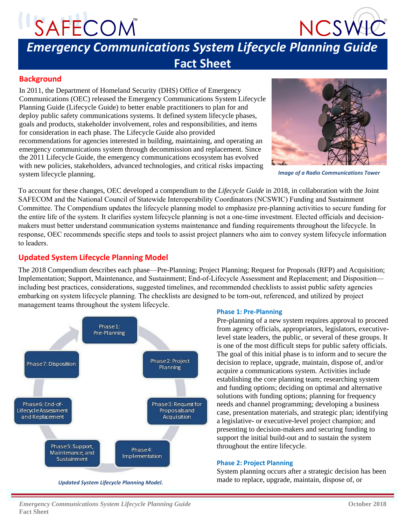# SAFECOM



### *Emergency Communications System Lifecycle Planning Guide* **Fact Sheet**

#### **Background**

In 2011, the Department of Homeland Security (DHS) Office of Emergency Communications (OEC) released the Emergency Communications System Lifecycle Planning Guide (Lifecycle Guide) to better enable practitioners to plan for and deploy public safety communications systems. It defined system lifecycle phases, goals and products, stakeholder involvement, roles and responsibilities, and items for consideration in each phase. The Lifecycle Guide also provided recommendations for agencies interested in building, maintaining, and operating an emergency communications system through decommission and replacement. Since the 2011 Lifecycle Guide, the emergency communications ecosystem has evolved with new policies, stakeholders, advanced technologies, and critical risks impacting system lifecycle planning. *Image of a Radio Communications Tower*



To account for these changes, OEC developed a compendium to the *Lifecycle Guide* in 2018, in collaboration with the Joint SAFECOM and the National Council of Statewide Interoperability Coordinators (NCSWIC) Funding and Sustainment Committee. The Compendium updates the lifecycle planning model to emphasize pre-planning activities to secure funding for the entire life of the system. It clarifies system lifecycle planning is not a one-time investment. Elected officials and decisionmakers must better understand communication systems maintenance and funding requirements throughout the lifecycle. In response, OEC recommends specific steps and tools to assist project planners who aim to convey system lifecycle information to leaders.

#### **Updated System Lifecycle Planning Model**

The 2018 Compendium describes each phase—Pre-Planning; Project Planning; Request for Proposals (RFP) and Acquisition; Implementation; Support, Maintenance, and Sustainment; End-of-Lifecycle Assessment and Replacement; and Disposition including best practices, considerations, suggested timelines, and recommended checklists to assist public safety agencies embarking on system lifecycle planning. The checklists are designed to be torn-out, referenced, and utilized by project management teams throughout the system lifecycle.



**Phase 1: Pre-Planning** 

Pre-planning of a new system requires approval to proceed from agency officials, appropriators, legislators, executivelevel state leaders, the public, or several of these groups. It is one of the most difficult steps for public safety officials. The goal of this initial phase is to inform and to secure the decision to replace, upgrade, maintain, dispose of, and/or acquire a communications system. Activities include establishing the core planning team; researching system and funding options; deciding on optimal and alternative solutions with funding options; planning for frequency needs and channel programming; developing a business case, presentation materials, and strategic plan; identifying a legislative- or executive-level project champion; and presenting to decision-makers and securing funding to support the initial build-out and to sustain the system throughout the entire lifecycle.

#### **Phase 2: Project Planning**

System planning occurs after a strategic decision has been made to replace, upgrade, maintain, dispose of, or

*Emergency Communications System Lifecycle Planning Guide Communications 2018* **October 2018 Fact Sheet**